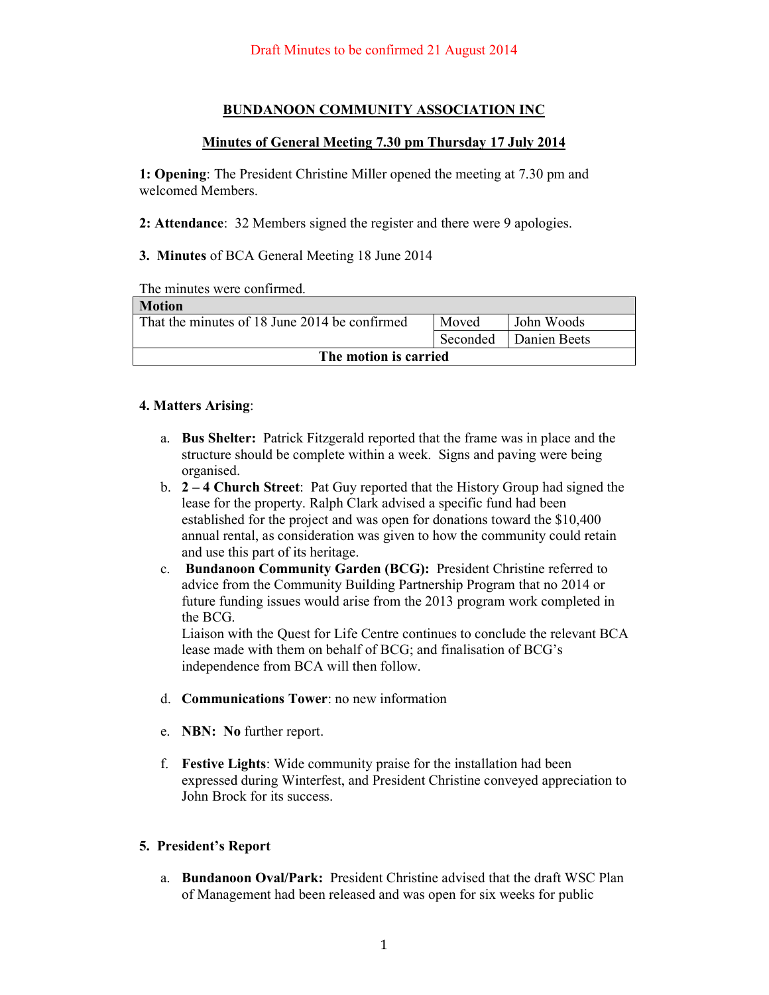# **BUNDANOON COMMUNITY ASSOCIATION INC**

### **Minutes of General Meeting 7.30 pm Thursday 17 July 2014**

**1: Opening**: The President Christine Miller opened the meeting at 7.30 pm and welcomed Members.

**2: Attendance**: 32 Members signed the register and there were 9 apologies.

**3. Minutes** of BCA General Meeting 18 June 2014

The minutes were confirmed.

| Motion                                        |          |              |  |
|-----------------------------------------------|----------|--------------|--|
| That the minutes of 18 June 2014 be confirmed | Moved    | John Woods   |  |
|                                               | Seconded | Danien Beets |  |
| The motion is carried                         |          |              |  |

#### **4. Matters Arising**:

- a. **Bus Shelter:** Patrick Fitzgerald reported that the frame was in place and the structure should be complete within a week. Signs and paving were being organised.
- b. **2 4 Church Street**: Pat Guy reported that the History Group had signed the lease for the property. Ralph Clark advised a specific fund had been established for the project and was open for donations toward the \$10,400 annual rental, as consideration was given to how the community could retain and use this part of its heritage.
- c. **Bundanoon Community Garden (BCG):** President Christine referred to advice from the Community Building Partnership Program that no 2014 or future funding issues would arise from the 2013 program work completed in the BCG.

Liaison with the Quest for Life Centre continues to conclude the relevant BCA lease made with them on behalf of BCG; and finalisation of BCG's independence from BCA will then follow.

- d. **Communications Tower**: no new information
- e. **NBN: No** further report.
- f. **Festive Lights**: Wide community praise for the installation had been expressed during Winterfest, and President Christine conveyed appreciation to John Brock for its success.

# **5. President's Report**

a. **Bundanoon Oval/Park:** President Christine advised that the draft WSC Plan of Management had been released and was open for six weeks for public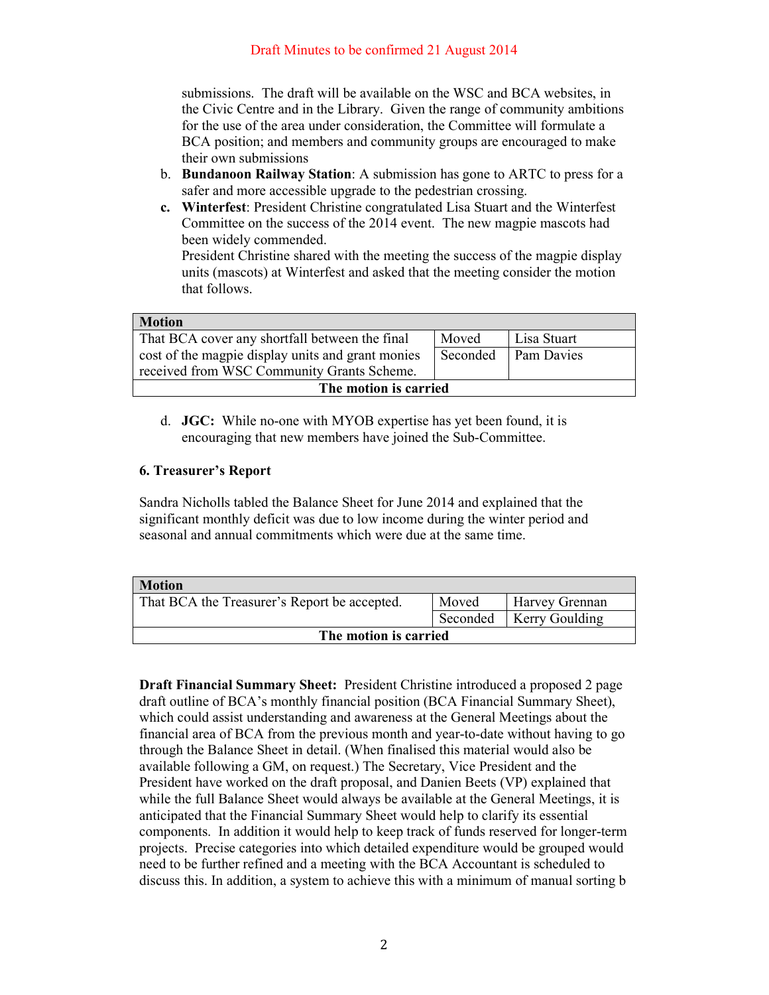submissions. The draft will be available on the WSC and BCA websites, in the Civic Centre and in the Library. Given the range of community ambitions for the use of the area under consideration, the Committee will formulate a BCA position; and members and community groups are encouraged to make their own submissions

- b. **Bundanoon Railway Station**: A submission has gone to ARTC to press for a safer and more accessible upgrade to the pedestrian crossing.
- **c. Winterfest**: President Christine congratulated Lisa Stuart and the Winterfest Committee on the success of the 2014 event. The new magpie mascots had been widely commended.

President Christine shared with the meeting the success of the magpie display units (mascots) at Winterfest and asked that the meeting consider the motion that follows.

| <b>Motion</b>                                     |          |                   |  |
|---------------------------------------------------|----------|-------------------|--|
| That BCA cover any shortfall between the final    | Moved    | Lisa Stuart       |  |
| cost of the magpie display units and grant monies | Seconded | <b>Pam Davies</b> |  |
| received from WSC Community Grants Scheme.        |          |                   |  |
| The motion is carried                             |          |                   |  |

d. **JGC:** While no-one with MYOB expertise has yet been found, it is encouraging that new members have joined the Sub-Committee.

# **6. Treasurer's Report**

Sandra Nicholls tabled the Balance Sheet for June 2014 and explained that the significant monthly deficit was due to low income during the winter period and seasonal and annual commitments which were due at the same time.

| <b>Motion</b>                                |       |                           |  |
|----------------------------------------------|-------|---------------------------|--|
| That BCA the Treasurer's Report be accepted. | Moved | <b>Harvey Grennan</b>     |  |
|                                              |       | Seconded   Kerry Goulding |  |
| The motion is carried                        |       |                           |  |

**Draft Financial Summary Sheet:** President Christine introduced a proposed 2 page draft outline of BCA's monthly financial position (BCA Financial Summary Sheet), which could assist understanding and awareness at the General Meetings about the financial area of BCA from the previous month and year-to-date without having to go through the Balance Sheet in detail. (When finalised this material would also be available following a GM, on request.) The Secretary, Vice President and the President have worked on the draft proposal, and Danien Beets (VP) explained that while the full Balance Sheet would always be available at the General Meetings, it is anticipated that the Financial Summary Sheet would help to clarify its essential components. In addition it would help to keep track of funds reserved for longer-term projects. Precise categories into which detailed expenditure would be grouped would need to be further refined and a meeting with the BCA Accountant is scheduled to discuss this. In addition, a system to achieve this with a minimum of manual sorting b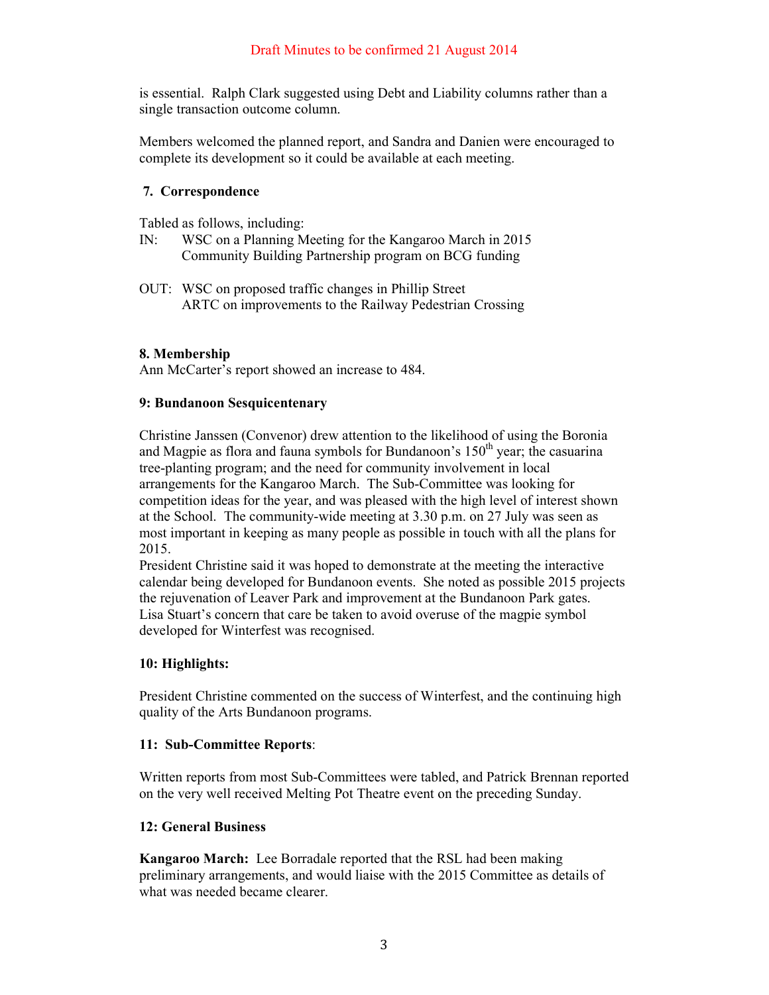is essential. Ralph Clark suggested using Debt and Liability columns rather than a single transaction outcome column.

Members welcomed the planned report, and Sandra and Danien were encouraged to complete its development so it could be available at each meeting.

### **7. Correspondence**

Tabled as follows, including:

- IN: WSC on a Planning Meeting for the Kangaroo March in 2015 Community Building Partnership program on BCG funding
- OUT: WSC on proposed traffic changes in Phillip Street ARTC on improvements to the Railway Pedestrian Crossing

### **8. Membership**

Ann McCarter's report showed an increase to 484.

### **9: Bundanoon Sesquicentenary**

Christine Janssen (Convenor) drew attention to the likelihood of using the Boronia and Magpie as flora and fauna symbols for Bundanoon's  $150<sup>th</sup>$  year; the casuarina tree-planting program; and the need for community involvement in local arrangements for the Kangaroo March. The Sub-Committee was looking for competition ideas for the year, and was pleased with the high level of interest shown at the School. The community-wide meeting at 3.30 p.m. on 27 July was seen as most important in keeping as many people as possible in touch with all the plans for 2015.

President Christine said it was hoped to demonstrate at the meeting the interactive calendar being developed for Bundanoon events. She noted as possible 2015 projects the rejuvenation of Leaver Park and improvement at the Bundanoon Park gates. Lisa Stuart's concern that care be taken to avoid overuse of the magpie symbol developed for Winterfest was recognised.

# **10: Highlights:**

President Christine commented on the success of Winterfest, and the continuing high quality of the Arts Bundanoon programs.

#### **11: Sub-Committee Reports**:

Written reports from most Sub-Committees were tabled, and Patrick Brennan reported on the very well received Melting Pot Theatre event on the preceding Sunday.

#### **12: General Business**

**Kangaroo March:** Lee Borradale reported that the RSL had been making preliminary arrangements, and would liaise with the 2015 Committee as details of what was needed became clearer.